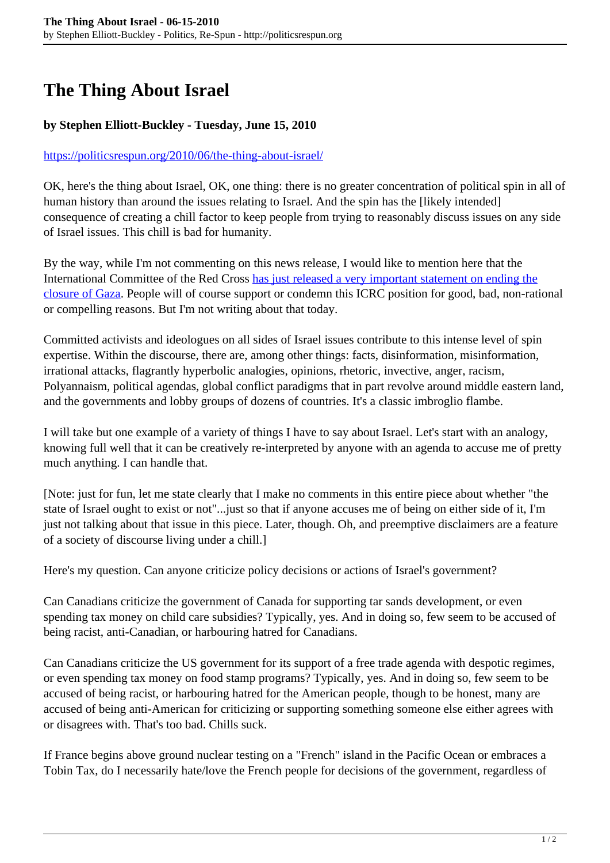## **The Thing About Israel**

## **by Stephen Elliott-Buckley - Tuesday, June 15, 2010**

## <https://politicsrespun.org/2010/06/the-thing-about-israel/>

OK, here's the thing about Israel, OK, one thing: there is no greater concentration of political spin in all of human history than around the issues relating to Israel. And the spin has the [likely intended] consequence of creating a chill factor to keep people from trying to reasonably discuss issues on any side of Israel issues. This chill is bad for humanity.

By the way, while I'm not commenting on this news release, I would like to mention here that the International Committee of the Red Cross [has just released a very important statement on ending the](http://www.icrc.org/web/eng/siteeng0.nsf/html/palestine-update-140610) [closure of Gaza.](http://www.icrc.org/web/eng/siteeng0.nsf/html/palestine-update-140610) People will of course support or condemn this ICRC position for good, bad, non-rational or compelling reasons. But I'm not writing about that today.

Committed activists and ideologues on all sides of Israel issues contribute to this intense level of spin expertise. Within the discourse, there are, among other things: facts, disinformation, misinformation, irrational attacks, flagrantly hyperbolic analogies, opinions, rhetoric, invective, anger, racism, Polyannaism, political agendas, global conflict paradigms that in part revolve around middle eastern land, and the governments and lobby groups of dozens of countries. It's a classic imbroglio flambe.

I will take but one example of a variety of things I have to say about Israel. Let's start with an analogy, knowing full well that it can be creatively re-interpreted by anyone with an agenda to accuse me of pretty much anything. I can handle that.

[Note: just for fun, let me state clearly that I make no comments in this entire piece about whether "the state of Israel ought to exist or not"...just so that if anyone accuses me of being on either side of it, I'm just not talking about that issue in this piece. Later, though. Oh, and preemptive disclaimers are a feature of a society of discourse living under a chill.]

Here's my question. Can anyone criticize policy decisions or actions of Israel's government?

Can Canadians criticize the government of Canada for supporting tar sands development, or even spending tax money on child care subsidies? Typically, yes. And in doing so, few seem to be accused of being racist, anti-Canadian, or harbouring hatred for Canadians.

Can Canadians criticize the US government for its support of a free trade agenda with despotic regimes, or even spending tax money on food stamp programs? Typically, yes. And in doing so, few seem to be accused of being racist, or harbouring hatred for the American people, though to be honest, many are accused of being anti-American for criticizing or supporting something someone else either agrees with or disagrees with. That's too bad. Chills suck.

If France begins above ground nuclear testing on a "French" island in the Pacific Ocean or embraces a Tobin Tax, do I necessarily hate/love the French people for decisions of the government, regardless of